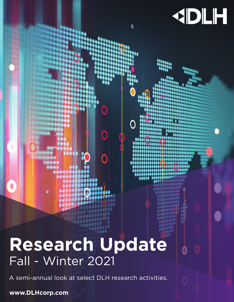# **Research Update** Fall - Winter 2021

C

KDLH

٥

A semi-annual look at select DLH research activities.

**www.DLHcorp.com**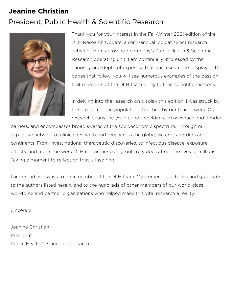# **Jeanine Christian** President, Public Health & Scientific Research



Thank you for your interest in the Fall-Winter 2021 edition of the DLH Research Update, a semi-annual look at select research activities from across our company's Public Health & Scientific Research operating unit. I am continually impressed by the curiosity and depth of expertise that our researchers display. In the pages that follow, you will see numerous examples of the passion that members of the DLH team bring to their scientific missions.

In delving into the research on display this edition, I was struck by the breadth of the populations touched by our team's work. Our research spans the young and the elderly, crosses race and gender

barriers, and encompasses broad swaths of the socioeconomic spectrum. Through our expansive network of clinical research partners across the globe, we cross borders and continents. From investigational therapeutic discoveries, to infectious disease, exposure effects, and more, the work DLH researchers carry out truly does affect the lives of millions. Taking a moment to reflect on that is inspiring.

I am proud as always to be a member of the DLH team. My tremendous thanks and gratitude to the authors listed herein, and to the hundreds of other members of our world-class workforce and partner organizations who helped make this vital research a reality.

Sincerely,

Jeanine Christian President Public Health & Scientific Research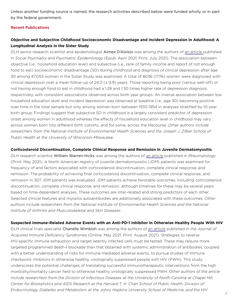Unless another funding source is named, the research activities described below were funded wholly or in part by the federal government.

#### **Recent Publications**

## **Objective and Subjective Childhood Socioeconomic Disadvantage and Incident Depression in Adulthood: A Longitudinal Analysis in the Sister Study**

DLH senior research scientist and epidemiologist Aimee D'Aloisio was among the authors of [an article p](https://pubmed.ncbi.nlm.nih.gov/33881563/)ublished in *Social Psychiatry and Psychiatric Epidemiology* (Epub: April 2021; Print: July 2021). The association between objective (i.e., household education level) and subjective (i.e., rank of family income and report of not enough food to eat) socioeconomic disadvantage (SD) during childhood and diagnosis of clinical depression after age 30 among 47,055 women in the Sister Study was examined. A total of 8036 (17.1%) women were diagnosed with clinical depression over a mean follow-up of 24.0 (± 9.9) years. Those reporting being poor (versus well-off) or not having enough food to eat in childhood had a 1.28 and 1.30 times higher rate of depression diagnosis, respectively, with consistent associations observed across birth year groups. An inverse association between low household education level and incident depression was observed at baseline (i.e., age 30) becoming positive over time in the total sample but only among women born between 1935-1954 in analyses stratified by 10-year birth group. Findings suggest that subjective SD in childhood is a largely consistent predictor of depression onset among women in adulthood whereas the effects of household education level in childhood may vary across women born into different birth cohorts, and for some, across the lifecourse. Other authors include researchers from the National Institute of Environmental Health Sciences and the Joseph J. Zilber School of *Public Health at the University of Wisconsin-Milwaukee.*

#### **Corticosteroid Discontinuation, Complete Clinical Response and Remission in Juvenile Dermatomyositis**

DLH research scientist William Warren-Hicks was among the authors of [an article](https://pubmed.ncbi.nlm.nih.gov/33067611/) published in *Rheumatology*  (Print: May 2021). A North American registry of juvenile dermatomyositis (JDM) patients was examined for frequency of and factors associated with corticosteroid discontinuation, complete clinical response, and remission. The probability of achieving final corticosteroid discontinuation, complete clinical response, and remission in 307 JDM patients was evaluated. JDM patients achieve favorable outcomes, including corticosteroid discontinuation, complete clinical response, and remission, although timelines for these may be several years based on time-dependent analyses. These outcomes are inter-related and strong predictors of each other. Selected clinical features and myositis autoantibodies are additionally associated with these outcomes. *Other*  authors include researchers from the National Institute of Environmental Health Sciences and the National *Institute of Arthritis and Musculoskeletal and Skin Diseases.*

#### **Suspected Immune-Related Adverse Events with an Anti-PD-1 Inhibitor in Otherwise Healthy People With HIV**

DLH clinical trials specialist Chanelle Wimbish was among the authors of [an article](https://pubmed.ncbi.nlm.nih.gov/33929394/) published in *the Journal of Acquired Immune Deficiency Syndromes* (Online: May 2021; Print: August 2021). Strategies to reverse HIV-specific immune exhaustion and target latently infected cells must be tested. These may require more targeted programmed death-1 blockade than that obtained with systemic administration of antibodies, coupled with a better understanding of risks for immune-mediated adverse events, to pursue studies of immune checkpoint inhibitors in otherwise healthy, virologically suppressed people with HIV (PWH). This study underscores the potential challenges of translating successful immunotherapeutic interventions from the high morbidity/mortality cancer field to otherwise healthy virologically suppressed PWH. *Other authors of the article include researchers from the Division of Infectious Diseases at the University of North Carolina at Chapel Hill, Center for Biostatistics and AIDS Research at the Harvard T. H. Chan School of Public Health, Division of Endocrinology, Diabetes and Metabolism at the Johns Hopkins University School of Medicine, and the HIV*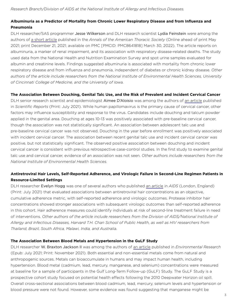## **Albuminuria as a Predictor of Mortality from Chronic Lower Respiratory Disease and from Influenza and Pneumonia**

DLH researcher/SAS programmer Jesse Wilkerson and DLH research scientist Lydia Feinstein were among the authors of [a short article](https://pubmed.ncbi.nlm.nih.gov/33979561/) published in the *Annals of the American Thoracic Society* (Online ahead of print May 2021; print December 21, 2021; available on PMC [PMCID: PMC8641818] March 30, 2022). The article reports on albuminuria, a marker of renal impairment, and its association with respiratory disease-related deaths. The study used data from the National Health and Nutrition Examination Survey and spot urine samples evaluated for albumin and creatinine levels. Findings suggested albuminuria is associated with mortality from chronic lower respiratory disease and from influenza and pneumonia, independent of diabetes or chronic kidney disease. *Other authors of the article include researchers from the National Institute of Environmental Health Sciences, University of Cincinnati College of Medicine, and the University of Iowa.*

#### **The Association Between Douching, Genital Talc Use, and the Risk of Prevalent and Incident Cervical Cancer**

DLH senior research scientist and epidemiologist Aimee D'Aloisio was among the authors of [an article](https://pubmed.ncbi.nlm.nih.gov/34290340/) published in *Scientific Reports* (Print: July 2021). While human papillomavirus is the primary cause of cervical cancer, other factors may influence susceptibility and response to the virus. Candidates include douching and talcum powder applied in the genital area. Douching at ages 10-13 was positively associated with pre-baseline cervical cancer, though the association was not statistically significant. An association between adolescent talc use and pre-baseline cervical cancer was not observed. Douching in the year before enrollment was positively associated with incident cervical cancer. The association between recent genital talc use and incident cervical cancer was positive, but not statistically significant. The observed positive association between douching and incident cervical cancer is consistent with previous retrospective case-control studies. In the first study to examine genital talc use and cervical cancer, evidence of an association was not seen. *Other authors include researchers from the National Institute of Environmental Health Sciences.*

# **Antiretroviral Hair Levels, Self-Reported Adherence, and Virologic Failure in Second-Line Regimen Patients in Resource-Limited Settings**

DLH researcher Evelyn Hogg was one of several authors who published [an article](https://pubmed.ncbi.nlm.nih.gov/33831905/) in *AIDS* (London, England) (Print: July 2021) that evaluated associations between antiretroviral hair concentrations as an objective, cumulative adherence metric, with self-reported adherence and virologic outcomes. Protease inhibitor hair concentrations showed stronger associations with subsequent virologic outcomes than self-reported adherence in this cohort. Hair adherence measures could identify individuals at risk of second-line treatment failure in need of interventions. *Other authors of the article include researchers from the Division of AIDS/National Institute of Allergy and Infectious Diseases, Harvard T.H. Chan School of Public Health, as well as HIV researchers from Thailand, Brazil, South Africa, Malawi, India, and Australia.*

#### **The Association Between Blood Metals and Hypertension in the GuLF Study**

DLH researcher W. Braxton Jackson II was among the authors of [an article](https://pubmed.ncbi.nlm.nih.gov/34303682/) published in *Environmental Research*  (Epub: July 2021; Print: November 2021). Both essential and non-essential metals come from natural and anthropogenic sources. Metals can bioaccumulate in humans and may impact human health, including hypertension. Blood metal (cadmium, lead, mercury, manganese, and selenium) concentrations were measured at baseline for a sample of participants in the Gulf Long-Term Follow-up (GuLF) Study. The GuLF Study is a prospective cohort study focused on potential health effects following the 2010 Deepwater Horizon oil spill. Overall cross-sectional associations between blood cadmium, lead, mercury, selenium levels and hypertension or blood pressure were not found. However, some evidence was found suggesting that manganese might be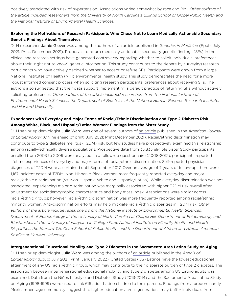positively associated with risk of hypertension. Associations varied somewhat by race and BMI. *Other authors of the article included researchers from the University of North Carolina's Gillings School of Global Public Health and the National Institute of Environmental Health Sciences.*

# **Exploring the Motivations of Research Participants Who Chose Not to Learn Medically Actionable Secondary Genetic Findings About Themselves**

DLH researcher Jamie Glover was among the authors of [an article](https://pubmed.ncbi.nlm.nih.gov/34326490/) published in *Genetics in Medicine* (Epub: July 2021; Print: December 2021). Proposals to return medically actionable secondary genetic findings (SFs) in the clinical and research settings have generated controversy regarding whether to solicit individuals' preferences about their "right not to know" genetic information. This study contributes to the debate by surveying research participants who have actively decided whether to accept or refuse SFs. Participants were drawn from a large National Institutes of Health (NIH) environmental health study. This study demonstrates the need for a more robust informed consent process when soliciting research participants' preferences about receiving SFs. The authors also suggested that their data support implementing a default practice of returning SFs without actively soliciting preferences. *Other authors of the article included researchers from the National Institute of Environmental Health Sciences, the Department of Bioethics at the National Human Genome Research Institute, and Harvard University.*

# **Experiences with Everyday and Major Forms of Racial/Ethnic Discrimination and Type 2 Diabetes Risk Among White, Black, and Hispanic/Latina Women: Findings from the Sister Study**

DLH senior epidemiologist Julia Ward was one of several authors of [an article](https://pubmed.ncbi.nlm.nih.gov/34215871/) published in the *American Journal of Epidemiology* (Online ahead of print: July 2021; Print December 2021). Racial/ethnic discrimination may contribute to type 2 diabetes mellitus (T2DM) risk, but few studies have prospectively examined this relationship among racially/ethnically diverse populations. Prospective data from 33,833 eligible Sister Study participants enrolled from 2003 to 2009 were analyzed. In a follow-up questionnaire (2008-2012), participants reported lifetime experiences of everyday and major forms of racial/ethnic discrimination. Self-reported physician diagnoses of T2DM were ascertained until September 2017. Over an average of 7 years of follow-up, there were 1,167 incident cases of T2DM. Non-Hispanic-Black women most frequently reported everyday and major racial/ethnic discrimination (vs. Non-Hispanic-White and Hispanic/Latina). While everyday discrimination was not associated, experiencing major discrimination was marginally associated with higher T2DM risk overall after adjustment for sociodemographic characteristics and body mass index. Associations were similar across racial/ethnic groups; however, racial/ethnic discrimination was more frequently reported among racial/ethnic minority women. Anti-discrimination efforts may help mitigate racial/ethnic disparities in T2DM risk. Other *authors of the article include researchers from the National Institute of Environmental Health Sciences, Department of Epidemiology at the University of North Carolina at Chapel Hill, Department of Epidemiology and Biostatistics at the University of Maryland in College Park, National Institute on Minority Health and Health Disparities, the Harvard T.H. Chan School of Public Health, and the Department of African and African American Studies at Harvard University.*

#### **Intergenerational Educational Mobility and Type 2 Diabetes in the Sacramento Area Latino Study on Aging**

DLH senior epidemiologist Julia Ward was among the authors of [an article](https://pubmed.ncbi.nlm.nih.gov/34303766/) published in the *Annals of Epidemiology* (Epub: July 2021; Print: January 2022). United States (US) Latinos have the lowest educational attainment of any US racial/ethnic group, which may contribute to their disparate burden of type 2 diabetes. The association between intergenerational educational mobility and type 2 diabetes among US Latino adults was examined. Data from the Niños Lifestyle and Diabetes Study (2013-2014) and the Sacramento Area Latino Study on Aging (1998-1999) were used to link 616 adult Latino children to their parents. Findings from a predominantly Mexican-heritage community suggest that higher education across generations may buffer individuals from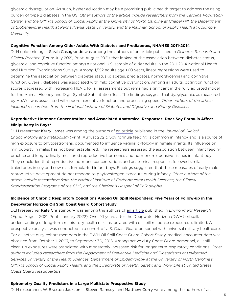glycemic dysregulation. As such, higher education may be a promising public health target to address the rising burden of type 2 diabetes in the US. *Other authors of the article include researchers from the Carolina Population*  Center and the Gillings School of Global Public at the University of North Carolina at Chapel Hill, the Department *of Biobehavioral Health at Pennsylvania State University, and the Mailman School of Public Health at Columbia University.*

#### **Cognitive Function Among Older Adults With Diabetes and Prediabetes, NHANES 2011-2014**

DLH epidemiologist Sarah Casagrande was among the authors of [an article](https://pubmed.ncbi.nlm.nih.gov/34229005/) published in *Diabetes Research and Clinical Practice* (Epub: July 2021; Print: August 2021) that looked at the association between diabetes status, glycemia, and cognitive function among a national U.S. sample of older adults in the 2011-2014 National Health and Nutrition Examinations Surveys. Among 1,552 adults age ≥60 years, linear regressions were used to determine the association between diabetes status (diabetes, prediabetes, normoglycemia) and cognitive function. Overall, diabetes was associated with mild cognitive dysfunction. Among all adults, cognition function scores decreased with increasing HbA1c for all assessments but remained significant in the fully adjusted model for the Animal Fluency and Digit Symbol Substitution Test. The findings suggest that dysglycemia, as measured by HbA1c, was associated with poorer executive function and processing speed. *Other authors of the article included researchers from the National Institute of Diabetes and Digestive and Kidney Diseases.*

# Reproductive Hormone Concentrations and Associated Anatomical Responses: Does Soy Formula Affect **Minipuberty in Boys?**

DLH researcher Kerry James was among the authors of [an article](https://pubmed.ncbi.nlm.nih.gov/34013335/) published in the *Journal of Clinical Endocrinology and Metabolism* (Print: August 2021). Soy formula feeding is common in infancy and is a source of high exposure to phytoestrogens, documented to influence vaginal cytology in female infants. Its influence on minipuberty in males has not been established. The researchers assessed the association between infant feeding practice and longitudinally measured reproductive hormones and hormone-responsive tissues in infant boys. They concluded that reproductive hormone concentrations and anatomical responses followed similar trajectories in soy and cow milk formula-fed infant boys. Findings suggested that these measures of early male reproductive development do not respond to phytoestrogen exposure during infancy. *Other authors of the article include researchers from the National Institute of Environmental Health Sciences, the Clinical Standardization Programs of the CDC, and the Children's Hospital of Philadelphia.*

# **Incidence of Chronic Respiratory Conditions Among Oil Spill Responders: Five Years of Follow-up in the Deepwater Horizon Oil Spill Coast Guard Cohort Study**

DLH researcher Kate Christenbury was among the authors of [an article](https://pubmed.ncbi.nlm.nih.gov/34364859/) published in *Environment Research* (Epub: August 2021; Print: January 2022). Over 10 years after the Deepwater Horizon (DWH) oil spill, understanding of long-term respiratory health risks associated with oil spill response exposures is limited. A prospective analysis was conducted in a cohort of U.S. Coast Guard personnel with universal military healthcare. For all active duty cohort members in the DWH Oil Spill Coast Guard Cohort Study, medical encounter data was obtained from October 1, 2007, to September 30, 2015. Among active duty Coast Guard personnel, oil spill clean-up exposures were associated with moderately increased risk for longer-term respiratory conditions. *Other authors included researchers from the Department of Preventive Medicine and Biostatistics at Uniformed Services University of the Health Sciences, Department of Epidemiology at the University of North Carolina's Gillings School of Global Public Health, and the Directorate of Health, Safety, and Work Life at United States Coast Guard Headquarters.*

#### **Spirometry Quality Predictors in a Large Multistate Prospective Study**

DLH researchers W. Braxton Jackson II, Steven Ramsey, and Matthew Curry were among the authors of an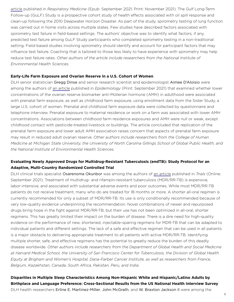[article](https://pubmed.ncbi.nlm.nih.gov/34571455/) published in *Respiratory Medicine* (Epub: September 2021; Print: November 2021). The Gulf Long-Term Follow-up (GuLF) Study is a prospective cohort study of health effects associated with oil spill response and clean-up following the 2010 Deepwater Horizon Disaster. As part of the study, spirometry testing of lung function was carried out in home visits across multiple states. Few studies have described factors associated with spirometry test failure in field-based settings. The authors' objective was to identify what factors, if any, predicted test failure among GuLF Study participants who completed spirometry testing in a non-traditional setting. Field-based studies involving spirometry should identify and account for participant factors that may influence test failure. Coaching that is tailored to those less likely to have experience with spirometry may help reduce test failure rates. *Other authors of the article include researchers from the National Institute of Environmental Health Sciences.*

#### **Early-Life Farm Exposure and Ovarian Reserve in a U.S. Cohort of Women**

DLH senior statistician Gregg Dinse and senior research scientist and epidemiologist Aimee D'Aloisio were among the authors of [an article](https://pubmed.ncbi.nlm.nih.gov/34039897/) published in *Epidemiology* (Print: September 2021) that examined whether lower concentrations of the ovarian reserve biomarker anti-Müllerian hormone (AMH) in adulthood were associated with prenatal farm exposure, as well as childhood farm exposure, using enrollment data from the Sister Study, a large U.S. cohort of women. Prenatal and childhood farm exposure data were collected by questionnaire and telephone interview. Prenatal exposure to maternal residence or work on a farm was associated with lower AMH concentrations. Associations between childhood farm residence exposures and AMH were null or weak, except childhood contact with pesticide-treated livestock or buildings. The article concluded that replication of the prenatal farm exposure and lower adult AMH association raises concern that aspects of prenatal farm exposure may result in reduced adult ovarian reserve. *Other authors include researchers from the College of Human Medicine at Michigan State University, the University of North Carolina Gillings School of Global Public Health, and the National Institute of Environmental Health Sciences.*

# **Evaluating Newly Approved Drugs for Multidrug-Resistant Tuberculosis (endTB): Study Protocol for an Adaptive, Multi-Country Randomized Controlled Trial**

DLH clinical trials specialist Osarenoma Okunbor was among the authors of [an article](https://pubmed.ncbi.nlm.nih.gov/34563240/) published in *Trials* (Online: September 2021). Treatment of multidrug- and rifampin-resistant tuberculosis (MDR/RR-TB) is expensive, labor-intensive, and associated with substantial adverse events and poor outcomes. While most MDR/RR-TB patients do not receive treatment, many who do are treated for 18 months or more. A shorter all-oral regimen is currently recommended for only a subset of MDR/RR-TB. Its use is only conditionally recommended because of very low-quality evidence underpinning the recommendation. Novel combinations of newer and repurposed drugs bring hope in the fight against MDR/RR-TB, but their use has not been optimized in all-oral, shorter regimens. This has greatly limited their impact on the burden of disease. There is a dire need for high-quality evidence on the performance of new, shortened, injectable-sparing regimens for MDR-TB that can be adapted to individual patients and different settings. The lack of a safe and effective regimen that can be used in all patients is a major obstacle to delivering appropriate treatment to all patients with active MDR/RR-TB. Identifying multiple shorter, safe, and effective regimens has the potential to greatly reduce the burden of this deadly disease worldwide. *Other authors include researchers from the Department of Global Health and Social Medicine at Harvard Medical School, the University of San Francisco Center for Tuberculosis, the Division of Global Health Equity at Brigham and Women's Hospital, Dana-Farber Cancer Institute, as well as researchers from France, Belgium, Kazakhstan, Canada, South Africa, Pakistan, Peru, and India.*

**Disparities in Multiple Sleep Characteristics Among Non-Hispanic White and Hispanic/Latino Adults by Birthplace and Language Preference: Cross-Sectional Results from the US National Health Interview Survey** DLH health researchers Erline E. Martinez-Miller, John McGrath, and W. Braxton Jackson II were among the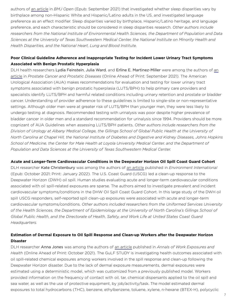authors of [an article](https://pubmed.ncbi.nlm.nih.gov/34475161/) in *BMJ Open* (Epub: September 2021) that investigated whether sleep disparities vary by birthplace among non-Hispanic White and Hispanic/Latino adults in the US, and investigated language preference as an effect modifier. Sleep disparities varied by birthplace, Hispanic/Latino heritage, and language preference, and each characteristic should be considered in sleep disparities research. *Other authors include researchers from the National Institute of Environmental Health Sciences, the Department of Population and Data Sciences at the University of Texas Southwestern Medical Center, the National Institute on Minority Health and Health Disparities, and the National Heart, Lung and Blood Institute.*

### **Poor Clinical Guideline Adherence and Inappropriate Testing for Incident Lower Urinary Tract Symptoms Associated with Benign Prostatic Hyperplasia**

DLH health researchers Lydia Feinstein, Julia Ward, and Erline E. Martinez-Miller were among the authors of [an](https://pubmed.ncbi.nlm.nih.gov/34545201/)  [article](https://pubmed.ncbi.nlm.nih.gov/34545201/) in *Prostate Cancer and Prostatic Diseases* (Online Ahead of Print: September 2021). The American Urological Association (AUA) makes recommendations for evaluation and testing for lower urinary tract symptoms associated with benign prostatic hyperplasia (LUTS/BPH) to help primary care providers and specialists identify LUTS/BPH and harmful related conditions including urinary retention and prostate or bladder cancer. Understanding of provider adherence to these guidelines is limited to single-site or non-representative settings. Although older men were at greater risk of LUTS/BPH than younger men, they were less likely to undergo testing at diagnosis. Recommended testing with urinalysis was poor despite higher prevalence of bladder cancer in older men and a standard recommendation for urinalysis since 1994. Providers should be more cognizant of AUA Guidelines when assessing LUTS/BPH patients. *Other authors include researchers from the Division of Urology at Albany Medical College, the Gillings School of Global Public Health at the University of North Carolina at Chapel Hill, the National Institute of Diabetes and Digestive and Kidney Diseases, Johns Hopkins School of Medicine, the Center for Male Health at Loyola University Medical Center, and the Department of Population and Data Sciences at the University of Texas Southwestern Medical Center.*

#### **Acute and Longer-Term Cardiovascular Conditions in the Deepwater Horizon Oil Spill Coast Guard Cohort**

DLH researcher Kate Christenbury was among the authors of [an article](https://pubmed.ncbi.nlm.nih.gov/34688052/) published in *Environment International*  (Epub: October 2021; Print: January 2022). The U.S. Coast Guard (USCG) led a clean-up response to the Deepwater Horizon (DWH) oil spill. Human studies evaluating acute and longer-term cardiovascular conditions associated with oil spill-related exposures are sparse. The authors aimed to investigate prevalent and incident cardiovascular symptoms/conditions in the DHW Oil Spill Coast Guard Cohort. In this large study of the DWH oil spill USCG responders, self-reported spill clean-up exposures were associated with acute and longer-term cardiovascular symptoms/conditions. *Other authors included researchers from the Uniformed Services University of the Health Sciences, the Department of Epidemiology at the University of North Carolina's Gillings School of Global Public Health, and the Directorate of Health, Safety, and Work Life at United States Coast Guard Headquarters.*

### **Estimation of Dermal Exposure to Oil Spill Response and Clean-up Workers after the Deepwater Horizon Disaster**

DLH researcher Anna Jones was among the authors of [an article](https://pubmed.ncbi.nlm.nih.gov/34642740/) published in *Annals of Work Exposures and Health* (Online Ahead of Print: October 2021). The GuLF STUDY is investigating health outcomes associated with oil spill-related chemical exposures among workers involved in the spill response and clean-up following the Deepwater Horizon disaster. Due to the lack of dermal exposure measurements, dermal exposures were estimated using a deterministic model, which was customized from a previously published model. Workers provided information on the frequency of contact with oil, tar, chemical dispersants applied to the oil spill and sea water, as well as the use of protective equipment, by job/activity/task. The model estimated dermal exposures to total hydrocarbons (THC), benzene, ethylbenzene, toluene, xylene, n-hexane (BTEX-H), polycyclic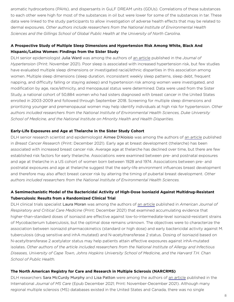aromatic hydrocarbons (PAHs), and dispersants in GuLF DREAM units (GDUs). Correlations of these substances to each other were high for most of the substances in oil but were lower for some of the substances in tar. These data were linked to the study participants to allow investigation of adverse health effects that may be related to dermal exposures. *Other authors include researchers from the National Institute of Environmental Health Sciences and the Gillings School of Global Public Health at the University of North Carolina.*

# **A Prospective Study of Multiple Sleep Dimensions and Hypertension Risk Among White, Black And Hispanic/Latina Women: Findings from the Sister Study**

DLH senior epidemiologist Julia Ward was among the authors of [an article](https://pubmed.ncbi.nlm.nih.gov/34620810/) published in the *Journal of Hypertension* (Print: November 2021). Poor sleep is associated with increased hypertension risk, but few studies have evaluated multiple sleep dimensions or investigated racial/ethnic disparities in this association among women. Multiple sleep dimensions (sleep duration, inconsistent weekly sleep patterns, sleep debt, frequent napping, and difficulty falling or staying asleep) and hypertension risk among women were investigated, and modification by age, race/ethnicity, and menopausal status were determined. Data were used from the Sister Study, a national cohort of 50,884 women who had sisters diagnosed with breast cancer in the United States enrolled in 2003-2009 and followed through September 2018. Screening for multiple sleep dimensions and prioritizing younger and premenopausal women may help identify individuals at high risk for hypertension. *Other authors included researchers from the National Institute of Environmental Health Sciences, Duke University School of Medicine, and the National Institute on Minority Health and Health Disparities.*

#### **Early-Life Exposures and Age at Thelarche in the Sister Study Cohort**

DLH senior research scientist and epidemiologist Aimee D'Aloisio was among the authors of [an article](https://pubmed.ncbi.nlm.nih.gov/34895281/) published in *Breast Cancer Research* (Print: December 2021). Early age at breast development (thelarche) has been associated with increased breast cancer risk. Average age at thelarche has declined over time, but there are few established risk factors for early thelarche. Associations were examined between pre- and postnatal exposures and age at thelarche in a US cohort of women born between 1928 and 1974. Associations between pre- and postnatal exposures and age at thelarche suggest that the early-life environment influences breast development and therefore may also affect breast cancer risk by altering the timing of pubertal breast development. Other *authors included researchers from the National Institute of Environmental Health Sciences.*

# **A Semimechanistic Model of the Bactericidal Activity of High-Dose Isoniazid Against Multidrug-Resistant Tuberculosis: Results from a Randomized Clinical Trial**

DLH clinical trials specialist Laura Moran was among the authors of [an article](https://pubmed.ncbi.nlm.nih.gov/34403326/) published in *American Journal of Respiratory and Critical Care Medicine* (Print: December 2021) that examined accumulating evidence that higher-than-standard doses of isoniazid are effective against low-to-intermediate-level isoniazid-resistant strains of Mycobacterium tuberculosis, but the optimal dose remains unknown. The objectives were to characterize the association between isoniazid pharmacokinetics (standard or high dose) and early bactericidal activity against M. tuberculosis (drug sensitive and inhA mutated) and N-acetyltransferase 2 status. Dosing of isoniazid based on N-acetyltransferase 2 acetylator status may help patients attain effective exposures against inhA-mutated isolates. *Other authors of the article included researchers from the National Institute of Allergy and Infectious Diseases, University of Cape Town, Johns Hopkins University School of Medicine, and the Harvard T.H. Chan School of Public Health.*

#### **The North American Registry for Care and Research in Multiple Sclerosis (NARCRMS)**

DLH researchers Sara McCurdy Murphy and Lisa Patton were among the authors of [an article](https://pubmed.ncbi.nlm.nih.gov/35035298/) published in the International *Journal of MS Care* (Epub December 2021; Print: November-December 2021). Although many regional multiple sclerosis (MS) databases existed in the United States and Canada, there was no single